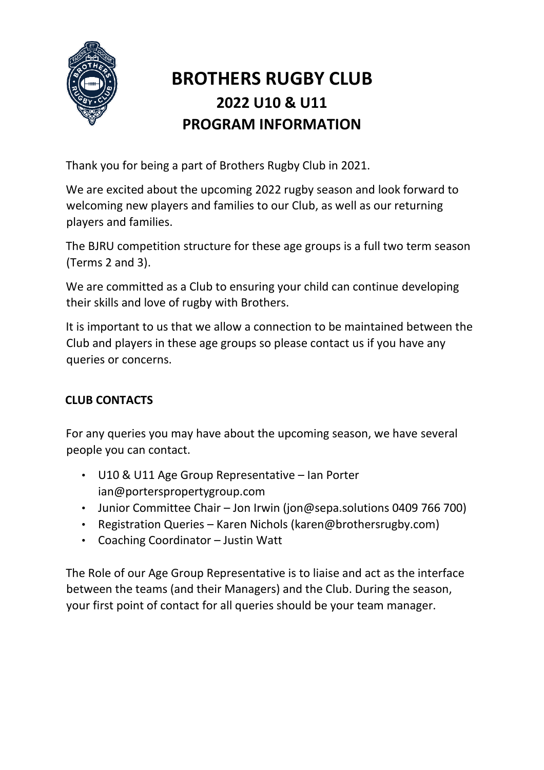

# **BROTHERS RUGBY CLUB 2022 U10 & U11 PROGRAM INFORMATION**

Thank you for being a part of Brothers Rugby Club in 2021.

We are excited about the upcoming 2022 rugby season and look forward to welcoming new players and families to our Club, as well as our returning players and families.

The BJRU competition structure for these age groups is a full two term season (Terms 2 and 3).

We are committed as a Club to ensuring your child can continue developing their skills and love of rugby with Brothers.

It is important to us that we allow a connection to be maintained between the Club and players in these age groups so please contact us if you have any queries or concerns.

## **CLUB CONTACTS**

For any queries you may have about the upcoming season, we have several people you can contact.

- U10 & U11 Age Group Representative Ian Porter ian@porterspropertygroup.com
- Junior Committee Chair Jon Irwin (jon@sepa.solutions 0409 766 700)
- Registration Queries Karen Nichols (karen@brothersrugby.com)
- Coaching Coordinator Justin Watt

The Role of our Age Group Representative is to liaise and act as the interface between the teams (and their Managers) and the Club. During the season, your first point of contact for all queries should be your team manager.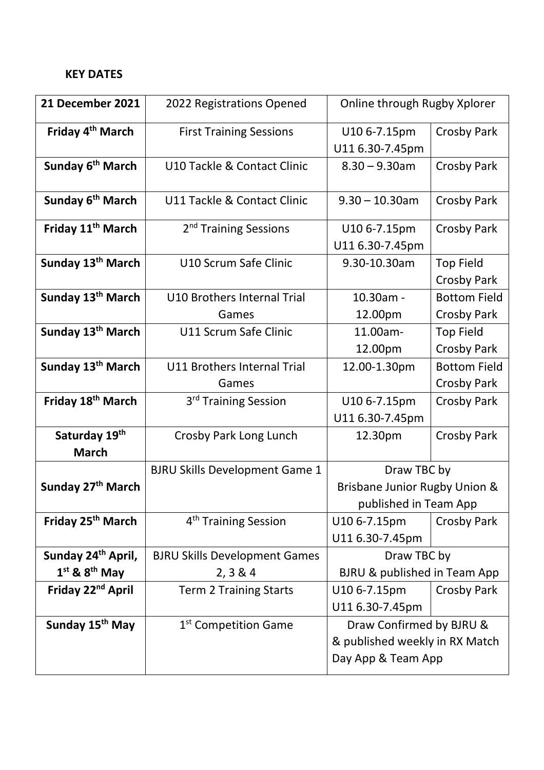#### **KEY DATES**

| 21 December 2021                                    | 2022 Registrations Opened                        | Online through Rugby Xplorer                                                     |                                           |
|-----------------------------------------------------|--------------------------------------------------|----------------------------------------------------------------------------------|-------------------------------------------|
| Friday 4 <sup>th</sup> March                        | <b>First Training Sessions</b>                   | U10 6-7.15pm<br>U11 6.30-7.45pm                                                  | <b>Crosby Park</b>                        |
| Sunday 6 <sup>th</sup> March                        | U10 Tackle & Contact Clinic                      | $8.30 - 9.30$ am                                                                 | <b>Crosby Park</b>                        |
| Sunday 6 <sup>th</sup> March                        | U11 Tackle & Contact Clinic                      | $9.30 - 10.30$ am                                                                | <b>Crosby Park</b>                        |
| Friday 11 <sup>th</sup> March                       | 2 <sup>nd</sup> Training Sessions                | U10 6-7.15pm<br>U11 6.30-7.45pm                                                  | <b>Crosby Park</b>                        |
| Sunday 13 <sup>th</sup> March                       | U10 Scrum Safe Clinic                            | 9.30-10.30am                                                                     | <b>Top Field</b><br>Crosby Park           |
| Sunday 13 <sup>th</sup> March                       | U10 Brothers Internal Trial<br>Games             | 10.30am -<br>12.00pm                                                             | <b>Bottom Field</b><br><b>Crosby Park</b> |
| Sunday 13 <sup>th</sup> March                       | U11 Scrum Safe Clinic                            | 11.00am-<br>12.00pm                                                              | <b>Top Field</b><br><b>Crosby Park</b>    |
| Sunday 13 <sup>th</sup> March                       | U11 Brothers Internal Trial<br>Games             | 12.00-1.30pm                                                                     | <b>Bottom Field</b><br>Crosby Park        |
| Friday 18 <sup>th</sup> March                       | 3 <sup>rd</sup> Training Session                 | U10 6-7.15pm<br>U11 6.30-7.45pm                                                  | Crosby Park                               |
| Saturday 19th<br><b>March</b>                       | Crosby Park Long Lunch                           | 12.30pm                                                                          | <b>Crosby Park</b>                        |
| Sunday 27 <sup>th</sup> March                       | <b>BJRU Skills Development Game 1</b>            | Draw TBC by<br>Brisbane Junior Rugby Union &<br>published in Team App            |                                           |
| Friday 25 <sup>th</sup> March                       | 4 <sup>th</sup> Training Session                 | U10 6-7.15pm<br>U11 6.30-7.45pm                                                  | Crosby Park                               |
| Sunday 24 <sup>th</sup> April,<br>$1st$ & $8th$ May | <b>BJRU Skills Development Games</b><br>2, 3 & 4 | Draw TBC by<br>BJRU & published in Team App                                      |                                           |
| Friday 22 <sup>nd</sup> April                       | <b>Term 2 Training Starts</b>                    | U10 6-7.15pm<br>U11 6.30-7.45pm                                                  | Crosby Park                               |
| Sunday 15 <sup>th</sup> May                         | 1 <sup>st</sup> Competition Game                 | Draw Confirmed by BJRU &<br>& published weekly in RX Match<br>Day App & Team App |                                           |